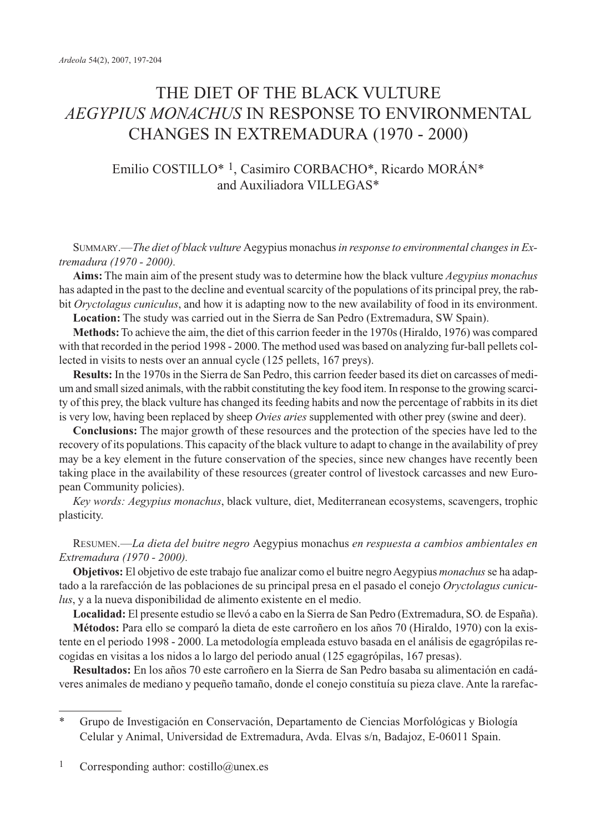# THE DIET OF THE BLACK VULTURE *AEGYPIUS MONACHUS* IN RESPONSE TO ENVIRONMENTAL CHANGES IN EXTREMADURA (1970 - 2000)

# Emilio COSTILLO\* 1, Casimiro CORBACHO\*, Ricardo MORÁN\* and Auxiliadora VILLEGAS\*

SUMMARY.—*The diet of black vulture* Aegypius monachus*in response to environmental changes in Extremadura (1970 - 2000).*

**Aims:** The main aim of the present study was to determine how the black vulture *Aegypius monachus* has adapted in the past to the decline and eventual scarcity of the populations of its principal prey, the rabbit *Oryctolagus cuniculus*, and how it is adapting now to the new availability of food in its environment.

**Location:** The study was carried out in the Sierra de San Pedro (Extremadura, SW Spain).

**Methods:**To achieve the aim, the diet of this carrion feeder in the 1970s (Hiraldo, 1976) was compared with that recorded in the period 1998 - 2000. The method used was based on analyzing fur-ball pellets collected in visits to nests over an annual cycle (125 pellets, 167 preys).

**Results:** In the 1970s in the Sierra de San Pedro, this carrion feeder based its diet on carcasses of medium and small sized animals, with the rabbit constituting the key food item. In response to the growing scarcity of this prey, the black vulture has changed its feeding habits and now the percentage of rabbits in its diet is very low, having been replaced by sheep *Ovies aries* supplemented with other prey (swine and deer).

**Conclusions:** The major growth of these resources and the protection of the species have led to the recovery of its populations. This capacity of the black vulture to adapt to change in the availability of prey may be a key element in the future conservation of the species, since new changes have recently been taking place in the availability of these resources (greater control of livestock carcasses and new European Community policies).

*Key words: Aegypius monachus*, black vulture, diet, Mediterranean ecosystems, scavengers, trophic plasticity.

RESUMEN.—*La dieta del buitre negro* Aegypius monachus *en respuesta a cambios ambientales en Extremadura (1970 - 2000).*

**Objetivos:** El objetivo de este trabajo fue analizar como el buitre negro Aegypius *monachus*se ha adaptado a la rarefacción de las poblaciones de su principal presa en el pasado el conejo *Oryctolagus cuniculus*, y a la nueva disponibilidad de alimento existente en el medio.

**Localidad:** El presente estudio se llevó a cabo en la Sierra de San Pedro (Extremadura, SO. de España).

**Métodos:** Para ello se comparó la dieta de este carroñero en los años 70 (Hiraldo, 1970) con la existente en el periodo 1998 - 2000. La metodología empleada estuvo basada en el análisis de egagrópilas recogidas en visitas a los nidos a lo largo del periodo anual (125 egagrópilas, 167 presas).

**Resultados:** En los años 70 este carroñero en la Sierra de San Pedro basaba su alimentación en cadáveres animales de mediano y pequeño tamaño, donde el conejo constituía su pieza clave. Ante la rarefac-

<sup>\*</sup> Grupo de Investigación en Conservación, Departamento de Ciencias Morfológicas y Biología Celular y Animal, Universidad de Extremadura, Avda. Elvas s/n, Badajoz, E-06011 Spain.

<sup>1</sup> Corresponding author: costillo@unex.es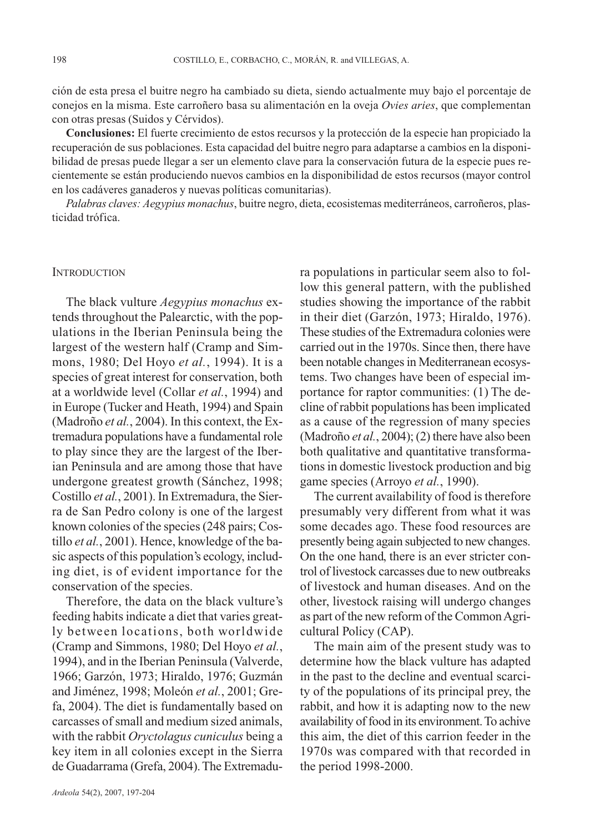ción de esta presa el buitre negro ha cambiado su dieta, siendo actualmente muy bajo el porcentaje de conejos en la misma. Este carroñero basa su alimentación en la oveja *Ovies aries*, que complementan con otras presas (Suidos y Cérvidos).

**Conclusiones:** El fuerte crecimiento de estos recursos y la protección de la especie han propiciado la recuperación de sus poblaciones. Esta capacidad del buitre negro para adaptarse a cambios en la disponibilidad de presas puede llegar a ser un elemento clave para la conservación futura de la especie pues recientemente se están produciendo nuevos cambios en la disponibilidad de estos recursos (mayor control en los cadáveres ganaderos y nuevas políticas comunitarias).

*Palabras claves: Aegypius monachus*, buitre negro, dieta, ecosistemas mediterráneos, carroñeros, plasticidad trófica.

### **INTRODUCTION**

The black vulture *Aegypius monachus* extends throughout the Palearctic, with the populations in the Iberian Peninsula being the largest of the western half (Cramp and Simmons, 1980; Del Hoyo *et al.*, 1994). It is a species of great interest for conservation, both at a worldwide level (Collar *et al.*, 1994) and in Europe (Tucker and Heath, 1994) and Spain (Madroño *et al.*, 2004). In this context, the Extremadura populations have a fundamental role to play since they are the largest of the Iberian Peninsula and are among those that have undergone greatest growth (Sánchez, 1998; Costillo *et al.*, 2001). In Extremadura, the Sierra de San Pedro colony is one of the largest known colonies of the species (248 pairs; Costillo *et al.*, 2001). Hence, knowledge of the basic aspects of this population's ecology, including diet, is of evident importance for the conservation of the species.

Therefore, the data on the black vulture's feeding habits indicate a diet that varies greatly between locations, both worldwide (Cramp and Simmons, 1980; Del Hoyo *et al.*, 1994), and in the Iberian Peninsula (Valverde, 1966; Garzón, 1973; Hiraldo, 1976; Guzmán and Jiménez, 1998; Moleón *et al.*, 2001; Grefa, 2004). The diet is fundamentally based on carcasses of small and medium sized animals, with the rabbit *Oryctolagus cuniculus* being a key item in all colonies except in the Sierra de Guadarrama (Grefa, 2004). The Extremadu-

ra populations in particular seem also to follow this general pattern, with the published studies showing the importance of the rabbit in their diet (Garzón, 1973; Hiraldo, 1976). These studies of the Extremadura colonies were carried out in the 1970s. Since then, there have been notable changes in Mediterranean ecosystems. Two changes have been of especial importance for raptor communities: (1) The decline of rabbit populations has been implicated as a cause of the regression of many species (Madroño *et al.*, 2004); (2) there have also been both qualitative and quantitative transformations in domestic livestock production and big game species (Arroyo *et al.*, 1990).

The current availability of food is therefore presumably very different from what it was some decades ago. These food resources are presently being again subjected to new changes. On the one hand, there is an ever stricter control of livestock carcasses due to new outbreaks of livestock and human diseases. And on the other, livestock raising will undergo changes as part of the new reform of the Common Agricultural Policy (CAP).

The main aim of the present study was to determine how the black vulture has adapted in the past to the decline and eventual scarcity of the populations of its principal prey, the rabbit, and how it is adapting now to the new availability of food in its environment. To achive this aim, the diet of this carrion feeder in the 1970s was compared with that recorded in the period 1998-2000.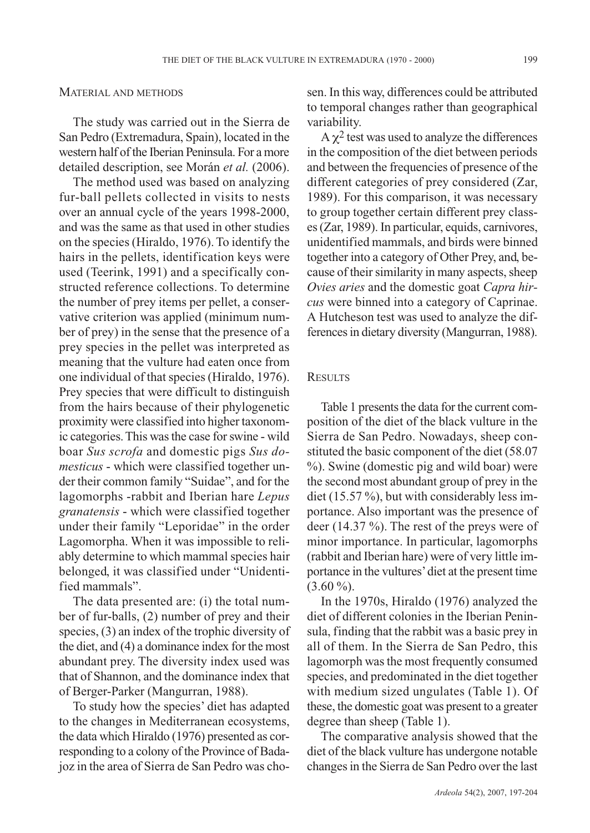#### MATERIAL AND METHODS

The study was carried out in the Sierra de San Pedro (Extremadura, Spain), located in the western half of the Iberian Peninsula. For a more detailed description, see Morán *et al.* (2006).

The method used was based on analyzing fur-ball pellets collected in visits to nests over an annual cycle of the years 1998-2000, and was the same as that used in other studies on the species (Hiraldo, 1976). To identify the hairs in the pellets, identification keys were used (Teerink, 1991) and a specifically constructed reference collections. To determine the number of prey items per pellet, a conservative criterion was applied (minimum number of prey) in the sense that the presence of a prey species in the pellet was interpreted as meaning that the vulture had eaten once from one individual of that species (Hiraldo, 1976). Prey species that were difficult to distinguish from the hairs because of their phylogenetic proximity were classified into higher taxonomic categories. This was the case for swine - wild boar *Sus scrofa* and domestic pigs *Sus domesticus* - which were classified together under their common family "Suidae", and for the lagomorphs -rabbit and Iberian hare *Lepus granatensis* - which were classified together under their family "Leporidae" in the order Lagomorpha. When it was impossible to reliably determine to which mammal species hair belonged, it was classified under "Unidentified mammals".

The data presented are: (i) the total number of fur-balls, (2) number of prey and their species, (3) an index of the trophic diversity of the diet, and (4) a dominance index for the most abundant prey. The diversity index used was that of Shannon, and the dominance index that of Berger-Parker (Mangurran, 1988).

To study how the species' diet has adapted to the changes in Mediterranean ecosystems, the data which Hiraldo (1976) presented as corresponding to a colony of the Province of Badajoz in the area of Sierra de San Pedro was chosen. In this way, differences could be attributed to temporal changes rather than geographical variability.

 $A \gamma^2$  test was used to analyze the differences in the composition of the diet between periods and between the frequencies of presence of the different categories of prey considered (Zar, 1989). For this comparison, it was necessary to group together certain different prey classes (Zar, 1989). In particular, equids, carnivores, unidentified mammals, and birds were binned together into a category of Other Prey, and, because of their similarity in many aspects, sheep *Ovies aries* and the domestic goat *Capra hircus* were binned into a category of Caprinae. A Hutcheson test was used to analyze the differences in dietary diversity (Mangurran, 1988).

#### **RESULTS**

Table 1 presents the data for the current composition of the diet of the black vulture in the Sierra de San Pedro. Nowadays, sheep constituted the basic component of the diet (58.07 %). Swine (domestic pig and wild boar) were the second most abundant group of prey in the diet (15.57 %), but with considerably less importance. Also important was the presence of deer (14.37 %). The rest of the preys were of minor importance. In particular, lagomorphs (rabbit and Iberian hare) were of very little importance in the vultures'diet at the present time  $(3.60\%).$ 

In the 1970s, Hiraldo (1976) analyzed the diet of different colonies in the Iberian Peninsula, finding that the rabbit was a basic prey in all of them. In the Sierra de San Pedro, this lagomorph was the most frequently consumed species, and predominated in the diet together with medium sized ungulates (Table 1). Of these, the domestic goat was present to a greater degree than sheep (Table 1).

The comparative analysis showed that the diet of the black vulture has undergone notable changes in the Sierra de San Pedro over the last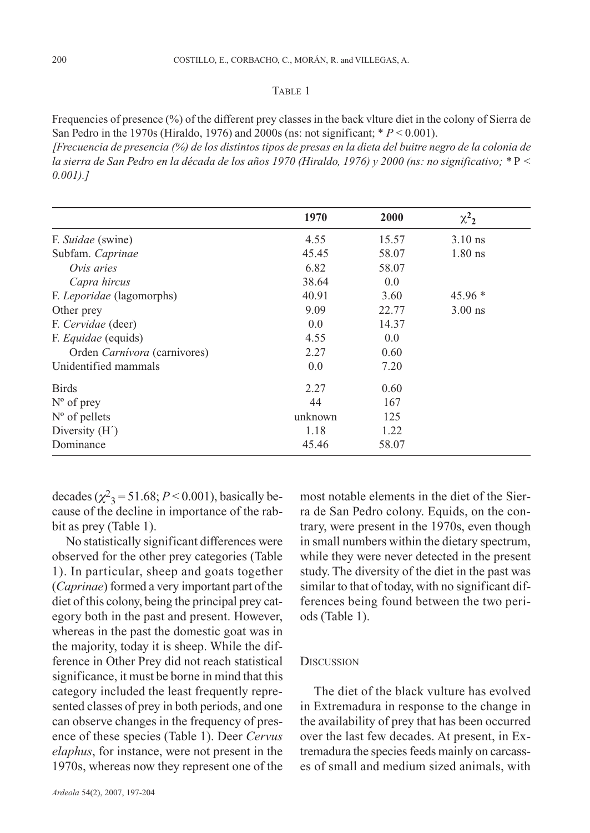## TABLE 1

Frequencies of presence (%) of the different prey classes in the back vlture diet in the colony of Sierra de San Pedro in the 1970s (Hiraldo, 1976) and 2000s (ns: not significant; \* *P* < 0.001).

*[Frecuencia de presencia (%) de los distintos tipos de presas en la dieta del buitre negro de la colonia de la sierra de San Pedro en la década de los años 1970 (Hiraldo, 1976) y 2000 (ns: no significativo; \** P *< 0.001).]*

|                              | 1970    | 2000  | $\chi^2$ <sub>2</sub> |
|------------------------------|---------|-------|-----------------------|
| F. Suidae (swine)            | 4.55    | 15.57 | $3.10$ ns             |
| Subfam. Caprinae             | 45.45   | 58.07 | $1.80$ ns             |
| Ovis aries                   | 6.82    | 58.07 |                       |
| Capra hircus                 | 38.64   | 0.0   |                       |
| F. Leporidae (lagomorphs)    | 40.91   | 3.60  | $45.96*$              |
| Other prey                   | 9.09    | 22.77 | $3.00$ ns             |
| F. Cervidae (deer)           | 0.0     | 14.37 |                       |
| F. Equidae (equids)          | 4.55    | 0.0   |                       |
| Orden Carnívora (carnivores) | 2.27    | 0.60  |                       |
| Unidentified mammals         | 0.0     | 7.20  |                       |
| <b>Birds</b>                 | 2.27    | 0.60  |                       |
| $N^{\circ}$ of prey          | 44      | 167   |                       |
| $N^{\circ}$ of pellets       | unknown | 125   |                       |
| Diversity $(H')$             | 1.18    | 1.22  |                       |
| Dominance                    | 45.46   | 58.07 |                       |

decades  $(\chi^2$ <sub>3</sub> = 51.68; *P* < 0.001), basically because of the decline in importance of the rabbit as prey (Table 1).

No statistically significant differences were observed for the other prey categories (Table 1). In particular, sheep and goats together (*Caprinae*) formed a very important part of the diet of this colony, being the principal prey category both in the past and present. However, whereas in the past the domestic goat was in the majority, today it is sheep. While the difference in Other Prey did not reach statistical significance, it must be borne in mind that this category included the least frequently represented classes of prey in both periods, and one can observe changes in the frequency of presence of these species (Table 1). Deer *Cervus elaphus*, for instance, were not present in the 1970s, whereas now they represent one of the

study. The diversity of the diet in the past was similar to that of today, with no significant differences being found between the two periods (Table 1). **DISCUSSION** 

> The diet of the black vulture has evolved in Extremadura in response to the change in the availability of prey that has been occurred over the last few decades. At present, in Extremadura the species feeds mainly on carcasses of small and medium sized animals, with

> most notable elements in the diet of the Sierra de San Pedro colony. Equids, on the contrary, were present in the 1970s, even though in small numbers within the dietary spectrum, while they were never detected in the present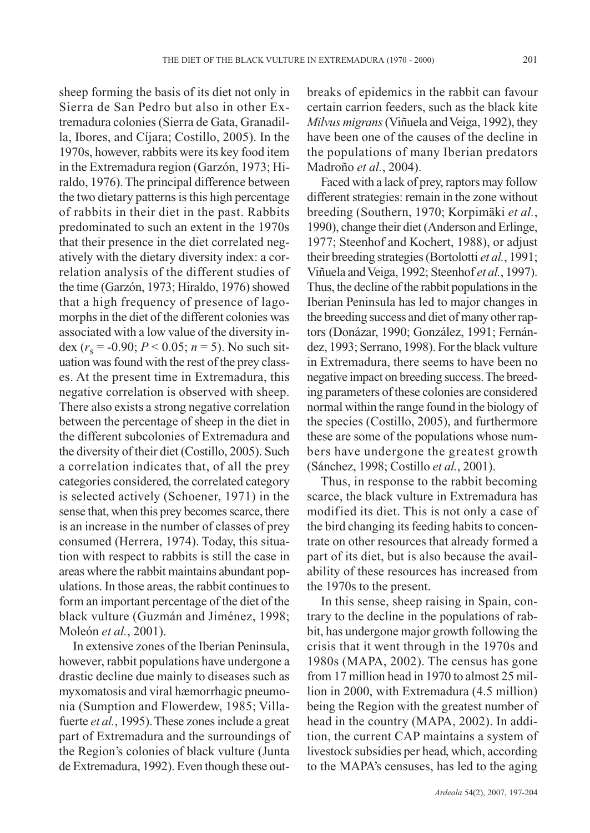sheep forming the basis of its diet not only in Sierra de San Pedro but also in other Extremadura colonies (Sierra de Gata, Granadilla, Ibores, and Cíjara; Costillo, 2005). In the 1970s, however, rabbits were its key food item in the Extremadura region (Garzón, 1973; Hiraldo, 1976). The principal difference between the two dietary patterns is this high percentage of rabbits in their diet in the past. Rabbits predominated to such an extent in the 1970s that their presence in the diet correlated negatively with the dietary diversity index: a correlation analysis of the different studies of the time (Garzón, 1973; Hiraldo, 1976) showed that a high frequency of presence of lagomorphs in the diet of the different colonies was associated with a low value of the diversity index  $(r_s = -0.90; P < 0.05; n = 5)$ . No such situation was found with the rest of the prey classes. At the present time in Extremadura, this negative correlation is observed with sheep. There also exists a strong negative correlation between the percentage of sheep in the diet in the different subcolonies of Extremadura and the diversity of their diet (Costillo, 2005). Such a correlation indicates that, of all the prey categories considered, the correlated category is selected actively (Schoener, 1971) in the sense that, when this prey becomes scarce, there is an increase in the number of classes of prey consumed (Herrera, 1974). Today, this situation with respect to rabbits is still the case in areas where the rabbit maintains abundant populations. In those areas, the rabbit continues to form an important percentage of the diet of the black vulture (Guzmán and Jiménez, 1998; Moleón *et al.*, 2001).

In extensive zones of the Iberian Peninsula, however, rabbit populations have undergone a drastic decline due mainly to diseases such as myxomatosis and viral hæmorrhagic pneumonia (Sumption and Flowerdew, 1985; Villafuerte *et al.*, 1995). These zones include a great part of Extremadura and the surroundings of the Region's colonies of black vulture (Junta de Extremadura, 1992). Even though these outbreaks of epidemics in the rabbit can favour certain carrion feeders, such as the black kite *Milvus migrans* (Viñuela and Veiga, 1992), they have been one of the causes of the decline in the populations of many Iberian predators Madroño *et al.*, 2004).

Faced with a lack of prey, raptors may follow different strategies: remain in the zone without breeding (Southern, 1970; Korpimäki *et al.*, 1990), change their diet (Anderson and Erlinge, 1977; Steenhof and Kochert, 1988), or adjust their breeding strategies (Bortolotti *et al.*, 1991; Viñuela and Veiga, 1992; Steenhof *et al.*, 1997). Thus, the decline of the rabbit populations in the Iberian Peninsula has led to major changes in the breeding success and diet of many other raptors (Donázar, 1990; González, 1991; Fernández, 1993; Serrano, 1998). For the black vulture in Extremadura, there seems to have been no negative impact on breeding success. The breeding parameters of these colonies are considered normal within the range found in the biology of the species (Costillo, 2005), and furthermore these are some of the populations whose numbers have undergone the greatest growth (Sánchez, 1998; Costillo *et al.*, 2001).

Thus, in response to the rabbit becoming scarce, the black vulture in Extremadura has modified its diet. This is not only a case of the bird changing its feeding habits to concentrate on other resources that already formed a part of its diet, but is also because the availability of these resources has increased from the 1970s to the present.

In this sense, sheep raising in Spain, contrary to the decline in the populations of rabbit, has undergone major growth following the crisis that it went through in the 1970s and 1980s (MAPA, 2002). The census has gone from 17 million head in 1970 to almost 25 million in 2000, with Extremadura (4.5 million) being the Region with the greatest number of head in the country (MAPA, 2002). In addition, the current CAP maintains a system of livestock subsidies per head, which, according to the MAPA's censuses, has led to the aging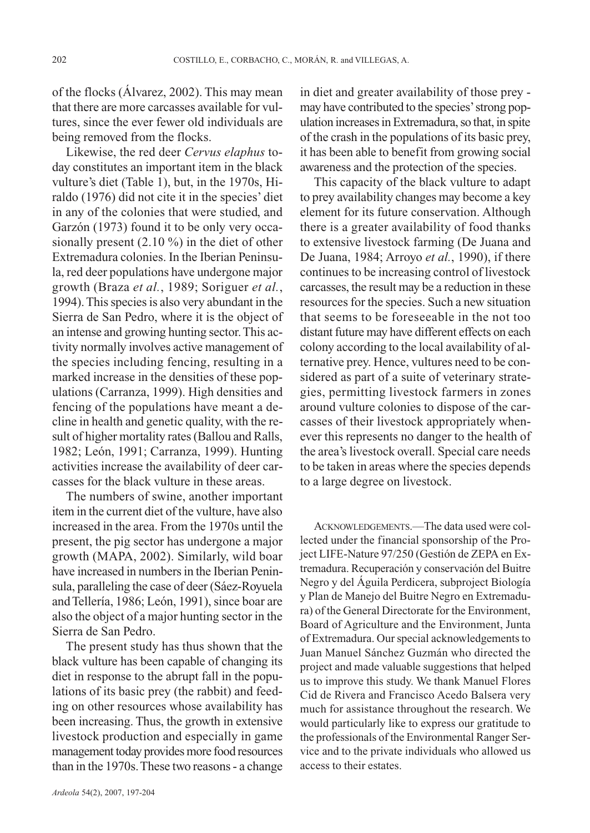of the flocks (Álvarez, 2002). This may mean that there are more carcasses available for vultures, since the ever fewer old individuals are being removed from the flocks.

Likewise, the red deer *Cervus elaphus* today constitutes an important item in the black vulture's diet (Table 1), but, in the 1970s, Hiraldo (1976) did not cite it in the species' diet in any of the colonies that were studied, and Garzón (1973) found it to be only very occasionally present (2.10 %) in the diet of other Extremadura colonies. In the Iberian Peninsula, red deer populations have undergone major growth (Braza *et al.*, 1989; Soriguer *et al.*, 1994). This species is also very abundant in the Sierra de San Pedro, where it is the object of an intense and growing hunting sector. This activity normally involves active management of the species including fencing, resulting in a marked increase in the densities of these populations (Carranza, 1999). High densities and fencing of the populations have meant a decline in health and genetic quality, with the result of higher mortality rates (Ballou and Ralls, 1982; León, 1991; Carranza, 1999). Hunting activities increase the availability of deer carcasses for the black vulture in these areas.

The numbers of swine, another important item in the current diet of the vulture, have also increased in the area. From the 1970s until the present, the pig sector has undergone a major growth (MAPA, 2002). Similarly, wild boar have increased in numbers in the Iberian Peninsula, paralleling the case of deer (Sáez-Royuela and Tellería, 1986; León, 1991), since boar are also the object of a major hunting sector in the Sierra de San Pedro.

The present study has thus shown that the black vulture has been capable of changing its diet in response to the abrupt fall in the populations of its basic prey (the rabbit) and feeding on other resources whose availability has been increasing. Thus, the growth in extensive livestock production and especially in game management today provides more food resources than in the 1970s. These two reasons - a change

in diet and greater availability of those prey may have contributed to the species'strong population increases in Extremadura, so that, in spite of the crash in the populations of its basic prey, it has been able to benefit from growing social awareness and the protection of the species.

This capacity of the black vulture to adapt to prey availability changes may become a key element for its future conservation. Although there is a greater availability of food thanks to extensive livestock farming (De Juana and De Juana, 1984; Arroyo *et al.*, 1990), if there continues to be increasing control of livestock carcasses, the result may be a reduction in these resources for the species. Such a new situation that seems to be foreseeable in the not too distant future may have different effects on each colony according to the local availability of alternative prey. Hence, vultures need to be considered as part of a suite of veterinary strategies, permitting livestock farmers in zones around vulture colonies to dispose of the carcasses of their livestock appropriately whenever this represents no danger to the health of the area's livestock overall. Special care needs to be taken in areas where the species depends to a large degree on livestock.

ACKNOWLEDGEMENTS.—The data used were collected under the financial sponsorship of the Project LIFE-Nature 97/250 (Gestión de ZEPA en Extremadura. Recuperación y conservación del Buitre Negro y del Águila Perdicera, subproject Biología y Plan de Manejo del Buitre Negro en Extremadura) of the General Directorate for the Environment, Board of Agriculture and the Environment, Junta of Extremadura. Our special acknowledgements to Juan Manuel Sánchez Guzmán who directed the project and made valuable suggestions that helped us to improve this study. We thank Manuel Flores Cid de Rivera and Francisco Acedo Balsera very much for assistance throughout the research. We would particularly like to express our gratitude to the professionals of the Environmental Ranger Service and to the private individuals who allowed us access to their estates.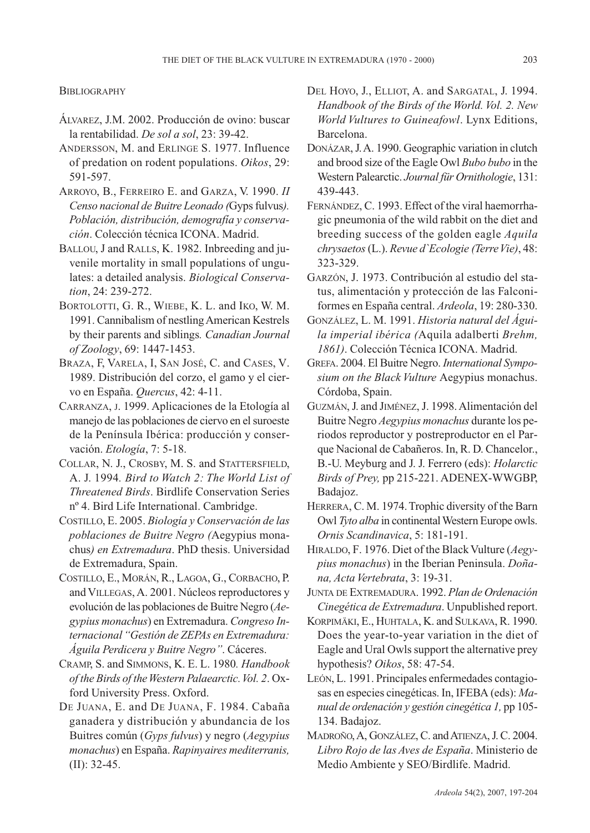**BIBLIOGRAPHY** 

- ÁLVAREZ, J.M. 2002. Producción de ovino: buscar la rentabilidad. *De sol a sol*, 23: 39-42.
- ANDERSSON, M. and ERLINGE S. 1977. Influence of predation on rodent populations. *Oikos*, 29: 591-597.
- ARROYO, B., FERREIRO E. and GARZA, V. 1990. *II Censo nacional de Buitre Leonado (*Gyps fulvus*). Población, distribución, demografía y conservación*. Colección técnica ICONA. Madrid.
- BALLOU, J and RALLS, K. 1982. Inbreeding and juvenile mortality in small populations of ungulates: a detailed analysis. *Biological Conservation*, 24: 239-272.
- BORTOLOTTI, G. R., WIEBE, K. L. and IKO, W. M. 1991. Cannibalism of nestling American Kestrels by their parents and siblings*. Canadian Journal of Zoology*, 69: 1447-1453.
- BRAZA, F, VARELA, I, SAN JOSÉ, C. and CASES, V. 1989. Distribución del corzo, el gamo y el ciervo en España. *Quercus*, 42: 4-11.
- CARRANZA, J. 1999. Aplicaciones de la Etología al manejo de las poblaciones de ciervo en el suroeste de la Península Ibérica: producción y conservación. *Etología*, 7: 5-18.
- COLLAR, N. J., CROSBY, M. S. and STATTERSFIELD, A. J. 1994*. Bird to Watch 2: The World List of Threatened Birds*. Birdlife Conservation Series nº 4. Bird Life International. Cambridge.
- COSTILLO, E. 2005. *Biología y Conservación de las poblaciones de Buitre Negro (*Aegypius monachus*) en Extremadura*. PhD thesis. Universidad de Extremadura, Spain.
- COSTILLO, E., MORÁN, R., LAGOA, G., CORBACHO, P. and VILLEGAS,A. 2001. Núcleos reproductores y evolución de las poblaciones de Buitre Negro (*Aegypius monachus*) en Extremadura. *Congreso Internacional "Gestión de ZEPAs en Extremadura: Águila Perdicera y Buitre Negro"*. Cáceres.
- CRAMP, S. and SIMMONS, K. E. L. 1980*. Handbook of the Birds of the Western Palaearctic. Vol. 2*. Oxford University Press. Oxford.
- DE JUANA, E. and DE JUANA, F. 1984. Cabaña ganadera y distribución y abundancia de los Buitres común (*Gyps fulvus*) y negro (*Aegypius monachus*) en España. *Rapinyaires mediterranis,* (II): 32-45.
- DEL HOYO, J., ELLIOT, A. and SARGATAL, J. 1994. *Handbook of the Birds of the World. Vol. 2. New World Vultures to Guineafowl*. Lynx Editions, Barcelona.
- DONÁZAR, J. A. 1990. Geographic variation in clutch and brood size of the Eagle Owl *Bubo bubo* in the Western Palearctic. *Journal für Ornithologie*, 131: 439-443.
- FERNÁNDEZ, C. 1993. Effect of the viral haemorrhagic pneumonia of the wild rabbit on the diet and breeding success of the golden eagle *Aquila chrysaetos*(L.). *Revue d`Ecologie (Terre Vie)*, 48: 323-329.
- GARZÓN, J. 1973. Contribución al estudio del status, alimentación y protección de las Falconiformes en España central. *Ardeola*, 19: 280-330.
- GONZÁLEZ, L. M. 1991. *Historia natural del Águila imperial ibérica (*Aquila adalberti *Brehm, 1861)*. Colección Técnica ICONA. Madrid.
- GREFA. 2004. El Buitre Negro. *International Symposium on the Black Vulture* Aegypius monachus. Córdoba, Spain.
- GUZMÁN,J. and JIMÉNEZ,J. 1998. Alimentación del Buitre Negro *Aegypius monachus* durante los periodos reproductor y postreproductor en el Parque Nacional de Cabañeros. In, R. D. Chancelor., B.-U. Meyburg and J. J. Ferrero (eds): *Holarctic Birds of Prey,* pp 215-221. ADENEX-WWGBP, Badajoz.
- HERRERA, C. M. 1974. Trophic diversity of the Barn Owl *Tyto alba* in continental Western Europe owls. *Ornis Scandinavica*, 5: 181-191.
- HIRALDO, F. 1976. Diet of the Black Vulture (*Aegypius monachus*) in the Iberian Peninsula. *Doñana, Acta Vertebrata*, 3: 19-31.
- JUNTA DE EXTREMADURA. 1992. *Plan de Ordenación Cinegética de Extremadura*. Unpublished report.
- KORPIMÄKI, E., HUHTALA, K. and SULKAVA, R. 1990. Does the year-to-year variation in the diet of Eagle and Ural Owls support the alternative prey hypothesis? *Oikos*, 58: 47-54.
- LEÓN, L. 1991. Principales enfermedades contagiosas en especies cinegéticas. In, IFEBA (eds): *Manual de ordenación y gestión cinegética 1,* pp 105- 134. Badajoz.
- MADROÑO, A, GONZÁLEZ, C. and ATIENZA, J. C. 2004. *Libro Rojo de las Aves de España*. Ministerio de Medio Ambiente y SEO/Birdlife. Madrid.